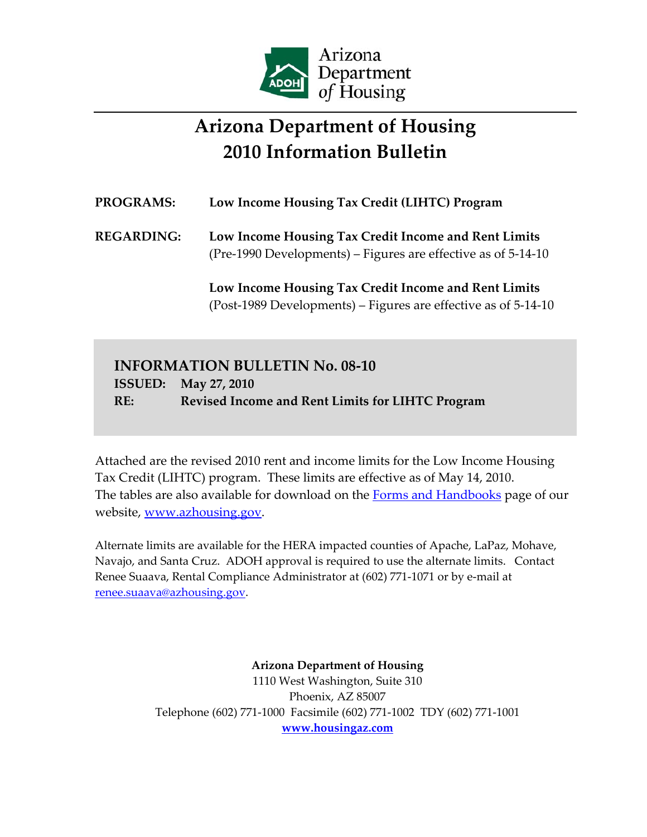

# **Arizona Department of Housing 2010 Information Bulletin**

## **PROGRAMS: Low Income Housing Tax Credit (LIHTC) Program REGARDING: Low Income Housing Tax Credit Income and Rent Limits** (Pre‐1990 Developments) – Figures are effective as of 5‐14‐10 **Low Income Housing Tax Credit Income and Rent Limits** (Post‐1989 Developments) – Figures are effective as of 5‐14‐10

### **INFORMATION BULLETIN No. 08‐10 ISSUED: May 27, 2010 RE: Revised Income and Rent Limits for LIHTC Program**

Attached are the revised 2010 rent and income limits for the Low Income Housing Tax Credit (LIHTC) program. These limits are effective as of May 14, 2010. The tables are also available for download on the Forms and Handbooks page of our website, www.azhousing.gov.

Alternate limits are available for the HERA impacted counties of Apache, LaPaz, Mohave, Navajo, and Santa Cruz. ADOH approval is required to use the alternate limits. Contact Renee Suaava, Rental Compliance Administrator at (602) 771‐1071 or by e‐mail at renee.suaava@azhousing.gov.

> **Arizona Department of Housing** 1110 West Washington, Suite 310 Phoenix, AZ 85007 Telephone (602) 771‐1000 Facsimile (602) 771‐1002 TDY (602) 771‐1001 **www.housingaz.com**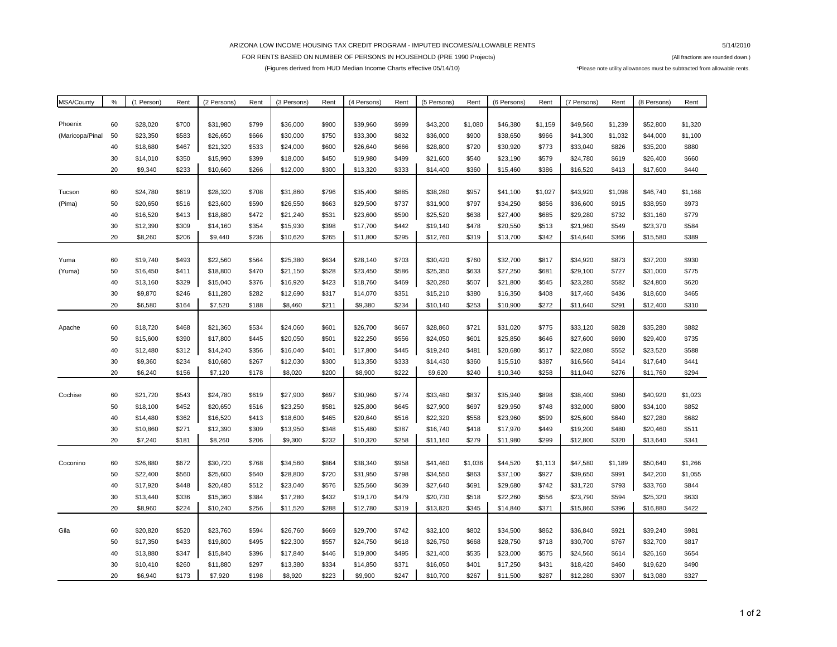#### ARIZONA LOW INCOME HOUSING TAX CREDIT PROGRAM - IMPUTED INCOMES/ALLOWABLE RENTS

5/14/2010

FOR RENTS BASED ON NUMBER OF PERSONS IN HOUSEHOLD (PRE 1990 Projects) (All fractions are rounded down.)

(Figures derived from HUD Median Income Charts effective 05/14/10) \*Please note utility allowances must be subtracted from allowable rents.

| MSA/County      | %        | (1 Person) | Rent  | (2 Persons)          | Rent           | (3 Persons)          | Rent           | (4 Persons)          | Rent  | (5 Persons)          | Rent           | (6 Persons)          | Rent           | (7 Persons)          | Rent           | (8 Persons)          | Rent    |
|-----------------|----------|------------|-------|----------------------|----------------|----------------------|----------------|----------------------|-------|----------------------|----------------|----------------------|----------------|----------------------|----------------|----------------------|---------|
|                 |          |            |       |                      |                |                      |                |                      |       |                      |                |                      |                |                      |                |                      |         |
| Phoenix         | 60       | \$28,020   | \$700 | \$31,980             | \$799          | \$36,000             | \$900          | \$39,960             | \$999 | \$43,200             | \$1,080        | \$46,380             | \$1,159        | \$49,560             | \$1,239        | \$52,800             | \$1,320 |
| (Maricopa/Pinal | 50       | \$23,350   | \$583 | \$26,650             | \$666          | \$30,000             | \$750          | \$33,300             | \$832 | \$36,000             | \$900          | \$38,650             | \$966          | \$41,300             | \$1,032        | \$44,000             | \$1,100 |
|                 | 40       | \$18,680   | \$467 | \$21,320             | \$533          | \$24,000             | \$600          | \$26,640             | \$666 | \$28,800             | \$720          | \$30,920             | \$773          | \$33,040             | \$826          | \$35,200             | \$880   |
|                 | 30       | \$14,010   | \$350 | \$15,990             | \$399          | \$18,000             | \$450          | \$19,980             | \$499 | \$21,600             | \$540          | \$23,190             | \$579          | \$24,780             | \$619          | \$26,400             | \$660   |
|                 | 20       | \$9,340    | \$233 | \$10,660             | \$266          | \$12,000             | \$300          | \$13,320             | \$333 | \$14,400             | \$360          | \$15,460             | \$386          | \$16,520             | \$413          | \$17,600             | \$440   |
|                 |          |            |       |                      |                |                      |                |                      |       |                      |                |                      |                |                      |                |                      |         |
| Tucson          | 60       | \$24,780   | \$619 | \$28,320             | \$708          | \$31,860             | \$796          | \$35,400             | \$885 | \$38,280             | \$957          | \$41,100             | \$1,027        | \$43,920             | \$1,098        | \$46,740             | \$1,168 |
| (Pima)          | 50       | \$20,650   | \$516 | \$23,600             | \$590          | \$26,550             | \$663          | \$29,500             | \$737 | \$31,900             | \$797          | \$34,250             | \$856          | \$36,600             | \$915          | \$38,950             | \$973   |
|                 | 40       | \$16,520   | \$413 | \$18,880             | \$472          | \$21,240             | \$531          | \$23,600             | \$590 | \$25,520             | \$638          | \$27,400             | \$685          | \$29,280             | \$732          | \$31,160             | \$779   |
|                 | 30       | \$12,390   | \$309 | \$14,160             | \$354          | \$15,930             | \$398          | \$17,700             | \$442 | \$19,140             | \$478          | \$20,550             | \$513          | \$21,960             | \$549          | \$23,370             | \$584   |
|                 | 20       | \$8,260    | \$206 | \$9,440              | \$236          | \$10,620             | \$265          | \$11,800             | \$295 | \$12,760             | \$319          | \$13,700             | \$342          | \$14,640             | \$366          | \$15,580             | \$389   |
|                 |          |            |       |                      |                |                      |                |                      |       |                      |                |                      |                |                      |                |                      |         |
| Yuma            | 60       | \$19,740   | \$493 | \$22,560             | \$564          | \$25,380             | \$634          | \$28,140             | \$703 | \$30,420             | \$760          | \$32,700             | \$817          | \$34,920             | \$873          | \$37,200             | \$930   |
| (Yuma)          | 50       | \$16,450   | \$411 | \$18,800             | \$470          | \$21,150             | \$528          | \$23,450             | \$586 | \$25,350             | \$633          | \$27,250             | \$681          | \$29,100             | \$727          | \$31,000             | \$775   |
|                 | 40       | \$13,160   | \$329 | \$15,040             | \$376          | \$16,920             | \$423          | \$18,760             | \$469 | \$20,280             | \$507          | \$21,800             | \$545          | \$23,280             | \$582          | \$24,800             | \$620   |
|                 | 30       | \$9,870    | \$246 | \$11,280             | \$282          | \$12,690             | \$317          | \$14,070             | \$351 | \$15,210             | \$380          | \$16,350             | \$408          | \$17,460             | \$436          | \$18,600             | \$465   |
|                 | 20       | \$6,580    | \$164 | \$7,520              | \$188          | \$8,460              | \$211          | \$9,380              | \$234 | \$10,140             | \$253          | \$10,900             | \$272          | \$11,640             | \$291          | \$12,400             | \$310   |
|                 |          |            |       |                      |                |                      |                |                      |       |                      |                |                      |                |                      |                |                      |         |
| Apache          | 60       | \$18,720   | \$468 | \$21,360             | \$534          | \$24,060             | \$601          | \$26,700             | \$667 | \$28,860             | \$721          | \$31,020             | \$775          | \$33,120             | \$828          | \$35,280             | \$882   |
|                 | 50       | \$15,600   | \$390 | \$17,800             | \$445          | \$20,050             | \$501          | \$22,250             | \$556 | \$24,050             | \$601          | \$25,850             | \$646          | \$27,600             | \$690          | \$29,400             | \$735   |
|                 | 40       | \$12,480   | \$312 | \$14,240             | \$356          | \$16,040             | \$401          | \$17,800             | \$445 | \$19,240             | \$481          | \$20,680             | \$517          | \$22,080             | \$552          | \$23,520             | \$588   |
|                 | 30       | \$9,360    | \$234 | \$10,680             | \$267          | \$12,030             | \$300          | \$13,350             | \$333 | \$14,430             | \$360          | \$15,510             | \$387          | \$16,560             | \$414          | \$17,640             | \$441   |
|                 | 20       | \$6,240    | \$156 | \$7,120              | \$178          | \$8,020              | \$200          | \$8,900              | \$222 | \$9,620              | \$240          | \$10,340             | \$258          | \$11,040             | \$276          | \$11,760             | \$294   |
|                 |          | \$21,720   | \$543 |                      |                |                      |                |                      | \$774 |                      |                |                      |                |                      |                |                      | \$1,023 |
| Cochise         | 60<br>50 | \$18,100   | \$452 | \$24,780<br>\$20,650 | \$619<br>\$516 | \$27,900<br>\$23,250 | \$697<br>\$581 | \$30,960<br>\$25,800 | \$645 | \$33,480<br>\$27,900 | \$837<br>\$697 | \$35,940<br>\$29,950 | \$898<br>\$748 | \$38,400<br>\$32,000 | \$960<br>\$800 | \$40,920<br>\$34,100 | \$852   |
|                 | 40       | \$14,480   | \$362 | \$16,520             | \$413          | \$18,600             | \$465          | \$20,640             | \$516 | \$22,320             | \$558          | \$23,960             | \$599          | \$25,600             | \$640          | \$27,280             | \$682   |
|                 | 30       | \$10,860   | \$271 | \$12,390             | \$309          | \$13,950             | \$348          | \$15,480             | \$387 | \$16,740             | \$418          | \$17,970             | \$449          | \$19,200             | \$480          | \$20,460             | \$511   |
|                 | 20       | \$7,240    | \$181 | \$8,260              | \$206          | \$9,300              | \$232          | \$10,320             | \$258 | \$11,160             | \$279          | \$11,980             | \$299          | \$12,800             | \$320          | \$13,640             | \$341   |
|                 |          |            |       |                      |                |                      |                |                      |       |                      |                |                      |                |                      |                |                      |         |
| Coconino        | 60       | \$26,880   | \$672 | \$30,720             | \$768          | \$34,560             | \$864          | \$38,340             | \$958 | \$41,460             | \$1,036        | \$44,520             | \$1,113        | \$47,580             | \$1,189        | \$50,640             | \$1,266 |
|                 | 50       | \$22,400   | \$560 | \$25,600             | \$640          | \$28,800             | \$720          | \$31,950             | \$798 | \$34,550             | \$863          | \$37,100             | \$927          | \$39,650             | \$991          | \$42,200             | \$1,055 |
|                 | 40       | \$17,920   | \$448 | \$20,480             | \$512          | \$23,040             | \$576          | \$25,560             | \$639 | \$27,640             | \$691          | \$29,680             | \$742          | \$31,720             | \$793          | \$33,760             | \$844   |
|                 | 30       | \$13,440   | \$336 | \$15,360             | \$384          | \$17,280             | \$432          | \$19,170             | \$479 | \$20,730             | \$518          | \$22,260             | \$556          | \$23,790             | \$594          | \$25,320             | \$633   |
|                 | 20       | \$8,960    | \$224 | \$10,240             | \$256          | \$11,520             | \$288          | \$12,780             | \$319 | \$13,820             | \$345          | \$14,840             | \$371          | \$15,860             | \$396          | \$16,880             | \$422   |
|                 |          |            |       |                      |                |                      |                |                      |       |                      |                |                      |                |                      |                |                      |         |
| Gila            | 60       | \$20,820   | \$520 | \$23,760             | \$594          | \$26,760             | \$669          | \$29,700             | \$742 | \$32,100             | \$802          | \$34,500             | \$862          | \$36,840             | \$921          | \$39,240             | \$981   |
|                 | 50       | \$17,350   | \$433 | \$19,800             | \$495          | \$22,300             | \$557          | \$24,750             | \$618 | \$26,750             | \$668          | \$28,750             | \$718          | \$30,700             | \$767          | \$32,700             | \$817   |
|                 | 40       | \$13,880   | \$347 | \$15,840             | \$396          | \$17,840             | \$446          | \$19,800             | \$495 | \$21,400             | \$535          | \$23,000             | \$575          | \$24,560             | \$614          | \$26,160             | \$654   |
|                 | 30       | \$10,410   | \$260 | \$11,880             | \$297          | \$13,380             | \$334          | \$14,850             | \$371 | \$16,050             | \$401          | \$17,250             | \$431          | \$18,420             | \$460          | \$19,620             | \$490   |
|                 | 20       | \$6.940    | \$173 | \$7,920              | \$198          | \$8,920              | \$223          | \$9,900              | \$247 | \$10,700             | \$267          | \$11,500             | \$287          | \$12,280             | \$307          | \$13,080             | \$327   |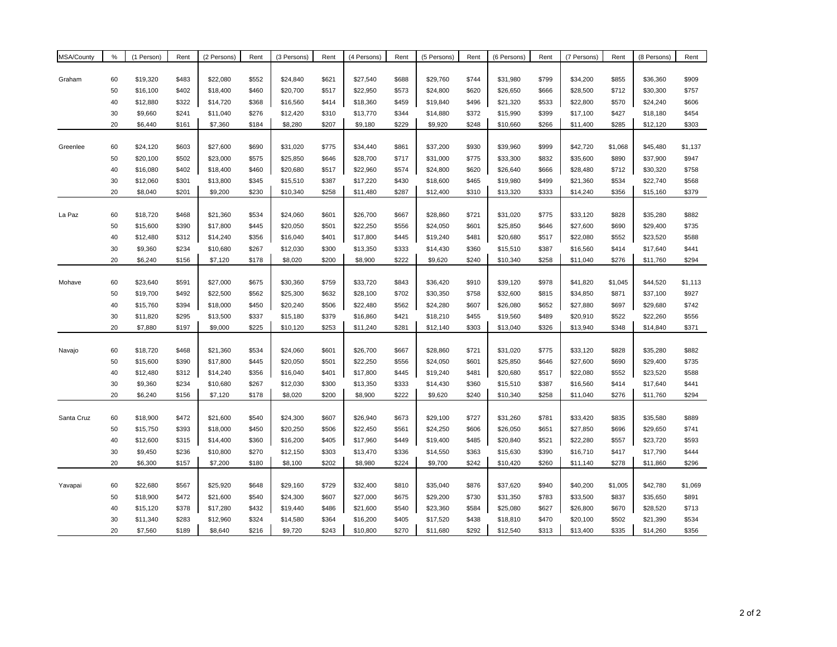| MSA/County | %  | (1 Person) | Rent  | (2 Persons) | Rent  | (3 Persons) | Rent  | (4 Persons) | Rent  | (5 Persons) | Rent  | (6 Persons) | Rent  | (7 Persons) | Rent    | (8 Persons) | Rent    |
|------------|----|------------|-------|-------------|-------|-------------|-------|-------------|-------|-------------|-------|-------------|-------|-------------|---------|-------------|---------|
|            |    |            |       |             |       |             |       |             |       |             |       |             |       |             |         |             |         |
| Graham     | 60 | \$19,320   | \$483 | \$22,080    | \$552 | \$24,840    | \$621 | \$27,540    | \$688 | \$29,760    | \$744 | \$31,980    | \$799 | \$34,200    | \$855   | \$36,360    | \$909   |
|            | 50 | \$16,100   | \$402 | \$18,400    | \$460 | \$20,700    | \$517 | \$22,950    | \$573 | \$24,800    | \$620 | \$26,650    | \$666 | \$28,500    | \$712   | \$30,300    | \$757   |
|            | 40 | \$12,880   | \$322 | \$14,720    | \$368 | \$16,560    | \$414 | \$18,360    | \$459 | \$19,840    | \$496 | \$21,320    | \$533 | \$22,800    | \$570   | \$24,240    | \$606   |
|            | 30 | \$9,660    | \$241 | \$11,040    | \$276 | \$12,420    | \$310 | \$13,770    | \$344 | \$14,880    | \$372 | \$15,990    | \$399 | \$17,100    | \$427   | \$18,180    | \$454   |
|            | 20 | \$6,440    | \$161 | \$7,360     | \$184 | \$8,280     | \$207 | \$9,180     | \$229 | \$9,920     | \$248 | \$10,660    | \$266 | \$11,400    | \$285   | \$12,120    | \$303   |
|            |    |            |       |             |       |             |       |             |       |             |       |             |       |             |         |             |         |
| Greenlee   | 60 | \$24,120   | \$603 | \$27,600    | \$690 | \$31,020    | \$775 | \$34,440    | \$861 | \$37,200    | \$930 | \$39,960    | \$999 | \$42,720    | \$1,068 | \$45,480    | \$1,137 |
|            | 50 | \$20,100   | \$502 | \$23,000    | \$575 | \$25,850    | \$646 | \$28,700    | \$717 | \$31,000    | \$775 | \$33,300    | \$832 | \$35,600    | \$890   | \$37,900    | \$947   |
|            | 40 | \$16,080   | \$402 | \$18,400    | \$460 | \$20,680    | \$517 | \$22,960    | \$574 | \$24,800    | \$620 | \$26,640    | \$666 | \$28,480    | \$712   | \$30,320    | \$758   |
|            | 30 | \$12,060   | \$301 | \$13,800    | \$345 | \$15,510    | \$387 | \$17,220    | \$430 | \$18,600    | \$465 | \$19,980    | \$499 | \$21,360    | \$534   | \$22,740    | \$568   |
|            | 20 | \$8,040    | \$201 | \$9,200     | \$230 | \$10,340    | \$258 | \$11,480    | \$287 | \$12,400    | \$310 | \$13,320    | \$333 | \$14,240    | \$356   | \$15,160    | \$379   |
|            |    |            |       |             |       |             |       |             |       |             |       |             |       |             |         |             |         |
| La Paz     | 60 | \$18,720   | \$468 | \$21,360    | \$534 | \$24,060    | \$601 | \$26,700    | \$667 | \$28,860    | \$721 | \$31,020    | \$775 | \$33,120    | \$828   | \$35,280    | \$882   |
|            | 50 | \$15,600   | \$390 | \$17,800    | \$445 | \$20,050    | \$501 | \$22,250    | \$556 | \$24,050    | \$601 | \$25,850    | \$646 | \$27,600    | \$690   | \$29,400    | \$735   |
|            | 40 | \$12,480   | \$312 | \$14,240    | \$356 | \$16,040    | \$401 | \$17,800    | \$445 | \$19,240    | \$481 | \$20,680    | \$517 | \$22,080    | \$552   | \$23,520    | \$588   |
|            | 30 | \$9,360    | \$234 | \$10,680    | \$267 | \$12,030    | \$300 | \$13,350    | \$333 | \$14,430    | \$360 | \$15,510    | \$387 | \$16,560    | \$414   | \$17,640    | \$441   |
|            | 20 | \$6,240    | \$156 | \$7,120     | \$178 | \$8,020     | \$200 | \$8,900     | \$222 | \$9,620     | \$240 | \$10,340    | \$258 | \$11,040    | \$276   | \$11,760    | \$294   |
|            |    |            |       |             |       |             |       |             |       |             |       |             |       |             |         |             |         |
| Mohave     | 60 | \$23,640   | \$591 | \$27,000    | \$675 | \$30,360    | \$759 | \$33,720    | \$843 | \$36,420    | \$910 | \$39,120    | \$978 | \$41,820    | \$1,045 | \$44,520    | \$1,113 |
|            | 50 | \$19,700   | \$492 | \$22,500    | \$562 | \$25,300    | \$632 | \$28,100    | \$702 | \$30,350    | \$758 | \$32,600    | \$815 | \$34,850    | \$871   | \$37,100    | \$927   |
|            | 40 | \$15,760   | \$394 | \$18,000    | \$450 | \$20,240    | \$506 | \$22,480    | \$562 | \$24,280    | \$607 | \$26,080    | \$652 | \$27,880    | \$697   | \$29,680    | \$742   |
|            | 30 | \$11,820   | \$295 | \$13,500    | \$337 | \$15,180    | \$379 | \$16,860    | \$421 | \$18,210    | \$455 | \$19,560    | \$489 | \$20,910    | \$522   | \$22,260    | \$556   |
|            | 20 | \$7,880    | \$197 | \$9,000     | \$225 | \$10,120    | \$253 | \$11,240    | \$281 | \$12,140    | \$303 | \$13,040    | \$326 | \$13,940    | \$348   | \$14,840    | \$371   |
| Navajo     | 60 | \$18,720   | \$468 | \$21,360    | \$534 | \$24,060    | \$601 | \$26,700    | \$667 | \$28,860    | \$721 | \$31,020    | \$775 | \$33,120    | \$828   | \$35,280    | \$882   |
|            | 50 | \$15,600   | \$390 | \$17,800    | \$445 | \$20,050    | \$501 | \$22,250    | \$556 | \$24,050    | \$601 | \$25,850    | \$646 | \$27,600    | \$690   | \$29,400    | \$735   |
|            | 40 | \$12,480   | \$312 | \$14,240    | \$356 | \$16,040    | \$401 | \$17,800    | \$445 | \$19,240    | \$481 | \$20,680    | \$517 | \$22,080    | \$552   | \$23,520    | \$588   |
|            | 30 | \$9,360    | \$234 | \$10,680    | \$267 | \$12,030    | \$300 | \$13,350    | \$333 | \$14,430    | \$360 | \$15,510    | \$387 | \$16,560    | \$414   | \$17,640    | \$441   |
|            | 20 | \$6,240    | \$156 | \$7,120     | \$178 | \$8,020     | \$200 | \$8,900     | \$222 | \$9,620     | \$240 | \$10,340    | \$258 | \$11,040    | \$276   | \$11,760    | \$294   |
|            |    |            |       |             |       |             |       |             |       |             |       |             |       |             |         |             |         |
| Santa Cruz | 60 | \$18,900   | \$472 | \$21,600    | \$540 | \$24,300    | \$607 | \$26,940    | \$673 | \$29,100    | \$727 | \$31,260    | \$781 | \$33,420    | \$835   | \$35,580    | \$889   |
|            | 50 | \$15,750   | \$393 | \$18,000    | \$450 | \$20,250    | \$506 | \$22,450    | \$561 | \$24,250    | \$606 | \$26,050    | \$651 | \$27,850    | \$696   | \$29,650    | \$741   |
|            | 40 | \$12,600   | \$315 | \$14,400    | \$360 | \$16,200    | \$405 | \$17,960    | \$449 | \$19,400    | \$485 | \$20,840    | \$521 | \$22,280    | \$557   | \$23,720    | \$593   |
|            | 30 | \$9,450    | \$236 | \$10,800    | \$270 | \$12,150    | \$303 | \$13,470    | \$336 | \$14,550    | \$363 | \$15,630    | \$390 | \$16,710    | \$417   | \$17,790    | \$444   |
|            | 20 | \$6,300    | \$157 | \$7,200     | \$180 | \$8,100     | \$202 | \$8,980     | \$224 | \$9,700     | \$242 | \$10,420    | \$260 | \$11,140    | \$278   | \$11,860    | \$296   |
|            |    |            |       |             |       |             |       |             |       |             |       |             |       |             |         |             |         |
| Yavapai    | 60 | \$22,680   | \$567 | \$25,920    | \$648 | \$29,160    | \$729 | \$32,400    | \$810 | \$35,040    | \$876 | \$37,620    | \$940 | \$40,200    | \$1,005 | \$42,780    | \$1,069 |
|            | 50 | \$18,900   | \$472 | \$21,600    | \$540 | \$24,300    | \$607 | \$27,000    | \$675 | \$29,200    | \$730 | \$31,350    | \$783 | \$33,500    | \$837   | \$35,650    | \$891   |
|            | 40 | \$15,120   | \$378 | \$17,280    | \$432 | \$19,440    | \$486 | \$21,600    | \$540 | \$23,360    | \$584 | \$25,080    | \$627 | \$26,800    | \$670   | \$28,520    | \$713   |
|            | 30 | \$11,340   | \$283 | \$12,960    | \$324 | \$14,580    | \$364 | \$16,200    | \$405 | \$17,520    | \$438 | \$18,810    | \$470 | \$20,100    | \$502   | \$21,390    | \$534   |
|            | 20 | \$7,560    | \$189 | \$8,640     | \$216 | \$9,720     | \$243 | \$10,800    | \$270 | \$11,680    | \$292 | \$12,540    | \$313 | \$13,400    | \$335   | \$14,260    | \$356   |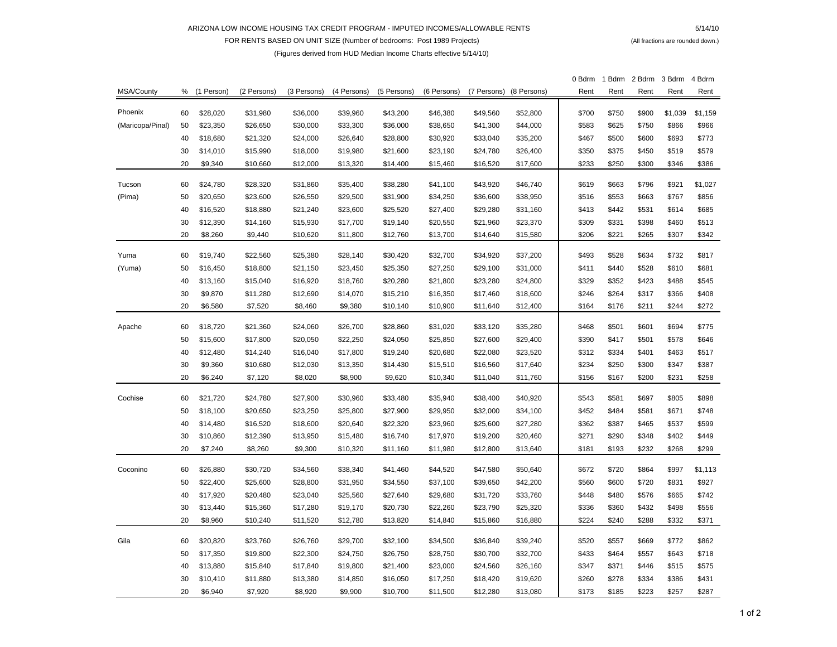#### ARIZONA LOW INCOME HOUSING TAX CREDIT PROGRAM - IMPUTED INCOMES/ALLOWABLE RENTS

 5/14/10 FOR RENTS BASED ON UNIT SIZE (Number of bedrooms: Post 1989 Projects) (All fractions are rounded down.)

### (Figures derived from HUD Median Income Charts effective 5/14/10)

|                  |    |            |             |             |             |             |             |             |             | 0 Bdrm | 1 Bdrm | 2 Bdrm | 3 Bdrm  | 4 Bdrm  |
|------------------|----|------------|-------------|-------------|-------------|-------------|-------------|-------------|-------------|--------|--------|--------|---------|---------|
| MSA/County       | %  | (1 Person) | (2 Persons) | (3 Persons) | (4 Persons) | (5 Persons) | (6 Persons) | (7 Persons) | (8 Persons) | Rent   | Rent   | Rent   | Rent    | Rent    |
| Phoenix          | 60 | \$28,020   | \$31,980    | \$36,000    | \$39,960    | \$43,200    | \$46,380    | \$49,560    | \$52,800    | \$700  | \$750  | \$900  | \$1,039 | \$1,159 |
| (Maricopa/Pinal) | 50 | \$23,350   | \$26,650    | \$30,000    | \$33,300    | \$36,000    | \$38,650    | \$41,300    | \$44,000    | \$583  | \$625  | \$750  | \$866   | \$966   |
|                  | 40 | \$18,680   | \$21,320    | \$24,000    | \$26,640    | \$28,800    | \$30,920    | \$33,040    | \$35,200    | \$467  | \$500  | \$600  | \$693   | \$773   |
|                  | 30 | \$14,010   | \$15,990    | \$18,000    | \$19,980    | \$21,600    | \$23,190    | \$24,780    | \$26,400    | \$350  | \$375  | \$450  | \$519   | \$579   |
|                  | 20 | \$9,340    | \$10,660    | \$12,000    | \$13,320    | \$14,400    | \$15,460    | \$16,520    | \$17,600    | \$233  | \$250  | \$300  | \$346   | \$386   |
|                  |    |            |             |             |             |             |             |             |             |        |        |        |         |         |
| Tucson           | 60 | \$24,780   | \$28,320    | \$31,860    | \$35,400    | \$38,280    | \$41,100    | \$43,920    | \$46,740    | \$619  | \$663  | \$796  | \$921   | \$1,027 |
| (Pima)           | 50 | \$20,650   | \$23,600    | \$26,550    | \$29,500    | \$31,900    | \$34,250    | \$36,600    | \$38,950    | \$516  | \$553  | \$663  | \$767   | \$856   |
|                  | 40 | \$16,520   | \$18,880    | \$21,240    | \$23,600    | \$25,520    | \$27,400    | \$29,280    | \$31,160    | \$413  | \$442  | \$531  | \$614   | \$685   |
|                  | 30 | \$12,390   | \$14,160    | \$15,930    | \$17,700    | \$19,140    | \$20,550    | \$21,960    | \$23,370    | \$309  | \$331  | \$398  | \$460   | \$513   |
|                  | 20 | \$8,260    | \$9,440     | \$10,620    | \$11,800    | \$12,760    | \$13,700    | \$14,640    | \$15,580    | \$206  | \$221  | \$265  | \$307   | \$342   |
| Yuma             | 60 | \$19,740   | \$22,560    | \$25,380    | \$28,140    | \$30,420    | \$32,700    | \$34,920    | \$37,200    | \$493  | \$528  | \$634  | \$732   | \$817   |
| (Yuma)           | 50 | \$16,450   | \$18,800    | \$21,150    | \$23,450    | \$25,350    | \$27,250    | \$29,100    | \$31,000    | \$411  | \$440  | \$528  | \$610   | \$681   |
|                  | 40 | \$13,160   | \$15,040    | \$16,920    | \$18,760    | \$20,280    | \$21,800    | \$23,280    | \$24,800    | \$329  | \$352  | \$423  | \$488   | \$545   |
|                  | 30 | \$9,870    | \$11,280    | \$12,690    | \$14,070    | \$15,210    | \$16,350    | \$17,460    | \$18,600    | \$246  | \$264  | \$317  | \$366   | \$408   |
|                  | 20 | \$6,580    | \$7,520     | \$8,460     | \$9,380     | \$10,140    | \$10,900    | \$11,640    | \$12,400    | \$164  | \$176  | \$211  | \$244   | \$272   |
|                  |    |            |             |             |             |             |             |             |             |        |        |        |         |         |
| Apache           | 60 | \$18,720   | \$21,360    | \$24,060    | \$26,700    | \$28,860    | \$31,020    | \$33,120    | \$35,280    | \$468  | \$501  | \$601  | \$694   | \$775   |
|                  | 50 | \$15,600   | \$17,800    | \$20,050    | \$22,250    | \$24,050    | \$25,850    | \$27,600    | \$29,400    | \$390  | \$417  | \$501  | \$578   | \$646   |
|                  | 40 | \$12,480   | \$14,240    | \$16,040    | \$17,800    | \$19,240    | \$20,680    | \$22,080    | \$23,520    | \$312  | \$334  | \$401  | \$463   | \$517   |
|                  | 30 | \$9,360    | \$10,680    | \$12,030    | \$13,350    | \$14,430    | \$15,510    | \$16,560    | \$17,640    | \$234  | \$250  | \$300  | \$347   | \$387   |
|                  | 20 | \$6,240    | \$7,120     | \$8,020     | \$8,900     | \$9,620     | \$10,340    | \$11,040    | \$11,760    | \$156  | \$167  | \$200  | \$231   | \$258   |
| Cochise          | 60 | \$21,720   | \$24,780    | \$27,900    | \$30,960    | \$33,480    | \$35,940    | \$38,400    | \$40,920    | \$543  | \$581  | \$697  | \$805   | \$898   |
|                  | 50 | \$18,100   | \$20,650    | \$23,250    | \$25,800    | \$27,900    | \$29,950    | \$32,000    | \$34,100    | \$452  | \$484  | \$581  | \$671   | \$748   |
|                  | 40 | \$14,480   | \$16,520    | \$18,600    | \$20,640    | \$22,320    | \$23,960    | \$25,600    | \$27,280    | \$362  | \$387  | \$465  | \$537   | \$599   |
|                  | 30 | \$10,860   | \$12,390    | \$13,950    | \$15,480    | \$16,740    | \$17,970    | \$19,200    | \$20,460    | \$271  | \$290  | \$348  | \$402   | \$449   |
|                  | 20 | \$7,240    | \$8,260     | \$9,300     | \$10,320    | \$11,160    | \$11,980    | \$12,800    | \$13,640    | \$181  | \$193  | \$232  | \$268   | \$299   |
| Coconino         | 60 | \$26,880   | \$30,720    | \$34,560    | \$38,340    | \$41,460    | \$44,520    | \$47,580    | \$50,640    | \$672  | \$720  | \$864  | \$997   | \$1,113 |
|                  | 50 | \$22,400   | \$25,600    | \$28,800    | \$31,950    | \$34,550    | \$37,100    | \$39,650    | \$42,200    | \$560  | \$600  | \$720  | \$831   | \$927   |
|                  | 40 | \$17,920   | \$20,480    | \$23,040    | \$25,560    | \$27,640    | \$29,680    | \$31,720    | \$33,760    | \$448  | \$480  | \$576  | \$665   | \$742   |
|                  | 30 | \$13,440   | \$15,360    | \$17,280    | \$19,170    | \$20,730    | \$22,260    | \$23,790    | \$25,320    | \$336  | \$360  | \$432  | \$498   | \$556   |
|                  | 20 | \$8,960    | \$10,240    | \$11,520    | \$12,780    | \$13,820    | \$14,840    | \$15,860    | \$16,880    | \$224  | \$240  | \$288  | \$332   | \$371   |
|                  |    |            |             |             |             |             |             |             |             |        |        |        |         |         |
| Gila             | 60 | \$20,820   | \$23,760    | \$26,760    | \$29,700    | \$32,100    | \$34,500    | \$36,840    | \$39,240    | \$520  | \$557  | \$669  | \$772   | \$862   |
|                  | 50 | \$17,350   | \$19,800    | \$22,300    | \$24,750    | \$26,750    | \$28,750    | \$30,700    | \$32,700    | \$433  | \$464  | \$557  | \$643   | \$718   |
|                  | 40 | \$13,880   | \$15,840    | \$17,840    | \$19,800    | \$21,400    | \$23,000    | \$24,560    | \$26,160    | \$347  | \$371  | \$446  | \$515   | \$575   |
|                  | 30 | \$10,410   | \$11,880    | \$13,380    | \$14,850    | \$16,050    | \$17,250    | \$18,420    | \$19,620    | \$260  | \$278  | \$334  | \$386   | \$431   |
|                  | 20 | \$6,940    | \$7,920     | \$8,920     | \$9,900     | \$10,700    | \$11,500    | \$12,280    | \$13,080    | \$173  | \$185  | \$223  | \$257   | \$287   |

1 of 2